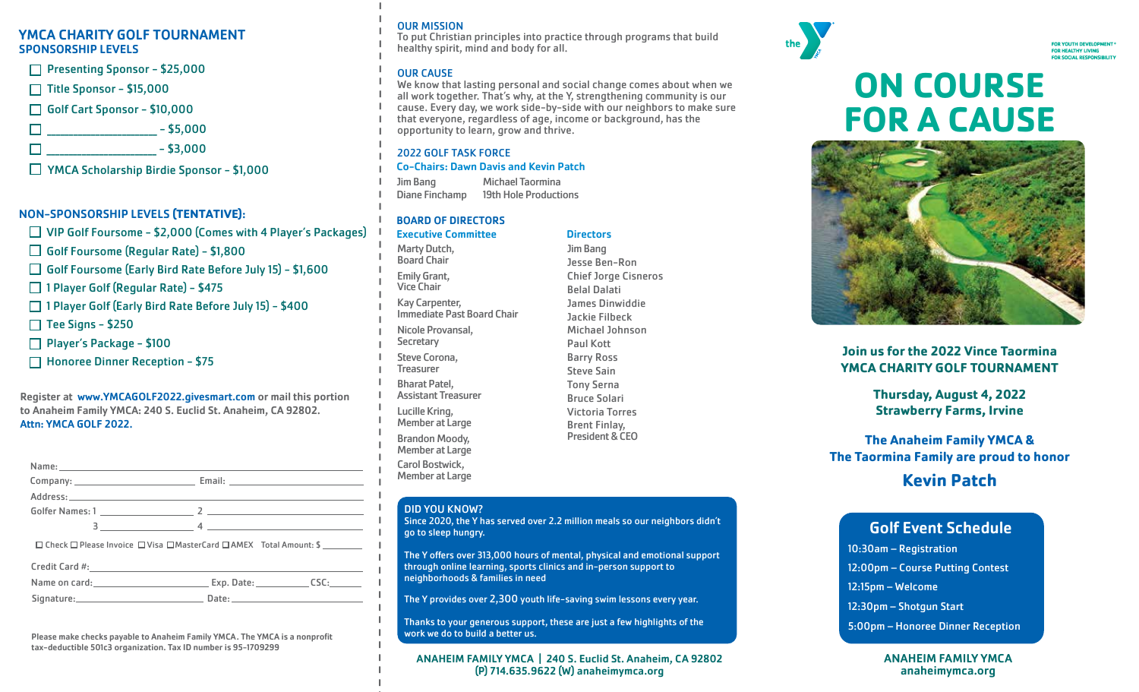#### SPONSORSHIP LEVELS YMCA CHARITY GOLF TOURNAMENT

#### NON-SPONSORSHIP LEVELS **(TENTATIVE)**:

| $\Box$ Presenting Sponsor - \$25,000<br>$\Box$ Title Sponsor - \$15,000<br>Golf Cart Sponsor - \$10,000<br>$\square$ ___________________ - \$5,000<br>$\square$ ________________ - \$3,000<br>□ YMCA Scholarship Birdie Sponsor - \$1,000<br>NON-SPONSORSHIP LEVELS (TENTATIVE):<br>$\Box$ VIP Golf Foursome - \$2,000 (Comes with 4 Player's Packages)<br>$\Box$ Golf Foursome (Regular Rate) - \$1,800<br>□ Golf Foursome (Early Bird Rate Before July 15) - \$1,600<br>□ 1 Player Golf (Regular Rate) - \$475                     |  |
|--------------------------------------------------------------------------------------------------------------------------------------------------------------------------------------------------------------------------------------------------------------------------------------------------------------------------------------------------------------------------------------------------------------------------------------------------------------------------------------------------------------------------------------|--|
|                                                                                                                                                                                                                                                                                                                                                                                                                                                                                                                                      |  |
|                                                                                                                                                                                                                                                                                                                                                                                                                                                                                                                                      |  |
|                                                                                                                                                                                                                                                                                                                                                                                                                                                                                                                                      |  |
|                                                                                                                                                                                                                                                                                                                                                                                                                                                                                                                                      |  |
|                                                                                                                                                                                                                                                                                                                                                                                                                                                                                                                                      |  |
|                                                                                                                                                                                                                                                                                                                                                                                                                                                                                                                                      |  |
|                                                                                                                                                                                                                                                                                                                                                                                                                                                                                                                                      |  |
|                                                                                                                                                                                                                                                                                                                                                                                                                                                                                                                                      |  |
|                                                                                                                                                                                                                                                                                                                                                                                                                                                                                                                                      |  |
|                                                                                                                                                                                                                                                                                                                                                                                                                                                                                                                                      |  |
|                                                                                                                                                                                                                                                                                                                                                                                                                                                                                                                                      |  |
|                                                                                                                                                                                                                                                                                                                                                                                                                                                                                                                                      |  |
|                                                                                                                                                                                                                                                                                                                                                                                                                                                                                                                                      |  |
| □ 1 Player Golf (Early Bird Rate Before July 15) - \$400                                                                                                                                                                                                                                                                                                                                                                                                                                                                             |  |
| $\Box$ Tee Signs - \$250                                                                                                                                                                                                                                                                                                                                                                                                                                                                                                             |  |
| $\Box$ Player's Package - \$100                                                                                                                                                                                                                                                                                                                                                                                                                                                                                                      |  |
| □ Honoree Dinner Reception - \$75                                                                                                                                                                                                                                                                                                                                                                                                                                                                                                    |  |
|                                                                                                                                                                                                                                                                                                                                                                                                                                                                                                                                      |  |
| Name: and the same of the same of the same of the same of the same of the same of the same of the same of the s                                                                                                                                                                                                                                                                                                                                                                                                                      |  |
|                                                                                                                                                                                                                                                                                                                                                                                                                                                                                                                                      |  |
|                                                                                                                                                                                                                                                                                                                                                                                                                                                                                                                                      |  |
| $\begin{array}{c c c c c} \hline \end{array} \qquad \qquad \begin{array}{c} \hline \end{array} \qquad \qquad \begin{array}{c} \hline \end{array} \qquad \qquad \begin{array}{c} \hline \end{array} \qquad \qquad \begin{array}{c} \hline \end{array} \qquad \qquad \begin{array}{c} \hline \end{array} \qquad \qquad \begin{array}{c} \hline \end{array} \qquad \qquad \begin{array}{c} \hline \end{array} \qquad \qquad \begin{array}{c} \hline \end{array} \qquad \qquad \begin{array}{c} \hline \end{array} \qquad \qquad \begin$ |  |
|                                                                                                                                                                                                                                                                                                                                                                                                                                                                                                                                      |  |
|                                                                                                                                                                                                                                                                                                                                                                                                                                                                                                                                      |  |
| □ Check □ Please Invoice □ Visa □ MasterCard □ AMEX Total Amount: \$                                                                                                                                                                                                                                                                                                                                                                                                                                                                 |  |
| Name on card: Calculation Care Exp. Date: CSC: CSC:                                                                                                                                                                                                                                                                                                                                                                                                                                                                                  |  |
| Address:                                                                                                                                                                                                                                                                                                                                                                                                                                                                                                                             |  |

#### OUR MISSION

To put Christian principles into practice through programs that build healthy spirit, mind and body for all.

#### OUR CAUSE

We know that lasting personal and social change comes about when we all work together. That's why, at the Y, strengthening community is our cause. Every day, we work side-by-side with our neighbors to make sure that everyone, regardless of age, income or background, has the opportunity to learn, grow and thrive.

#### 2022 GOLF TASK FORCE

#### Co-Chairs: Dawn Davis and Kevin Patch

Jim Bang Diane Finchamp Michael Taormina 19th Hole Productions

#### BOARD OF DIRECTORS

#### **Executive Committee Committee Directors**

Marty Dutch, Board Chair Emily Grant, Vice Chair Kay Carpenter, Immediate Past Board Chair Nicole Provansal, **Secretary** Steve Corona, **Treasurer** Bharat Patel, Assistant Treasurer Lucille Kring, Member at Large Brandon Moody, Member at Large Carol Bostwick, Member at Large

Jim Bang Jesse Ben-Ron Belal Dalati Jackie Filbeck Paul Kott Barry Ross Steve Sain Tony Serna Bruce Solari Victoria Torres Brent Finlay, President & CEO

#### DID YOU KNOW?

Since 2020, the Y has served over 2.2 million meals so our neighbors didn't go to sleep hungry.

The Y offers over 313,000 hours of mental, physical and emotional support through online learning, sports clinics and in-person support to neighborhoods & families in need

The Y provides over 2,300 youth life-saving swim lessons every year.

Thanks to your generous support, these are just a few highlights of the work we do to build a better us.

ANAHEIM FAMILY YMCA | 240 S. Euclid St. Anaheim, CA 92802 (P) 714.635.9622 (W) anaheimymca.org



## **ON COURSE FOR A CAUSE**



#### **Join us for the 2022 Vince Taormina YMCA CHARITY GOLF TOURNAMENT**

**Thursday, August 4, 2022 Strawberry Farms, Irvine**

**The Anaheim Family YMCA & The Taormina Family are proud to honor**

#### **Kevin Patch**

#### Golf Event Schedule

10:30am – Registration

12:00pm – Course Putting Contest

12:15pm – Welcome

12:30pm – Shotgun Start

5:00pm – Honoree Dinner Reception

#### ANAHEIM FAMILY YMCA anaheimymca.org

## Chief Jorge Cisneros James Dinwiddie Michael Johnson